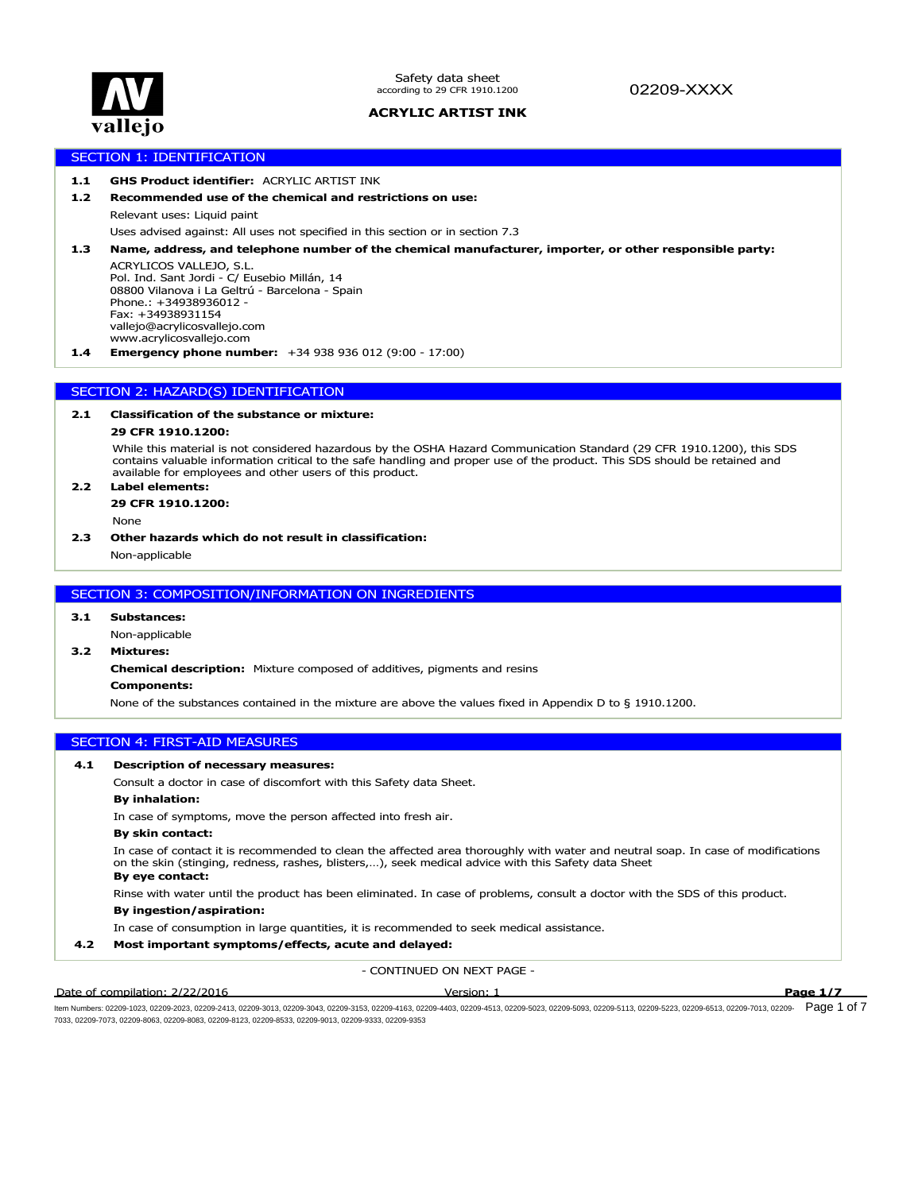

# 02209-XXXX

# **ACRYLIC ARTIST INK**

# SECTION 1: IDENTIFICATION

# **1.1 GHS Product identifier:** ACRYLIC ARTIST INK

#### **1.2 Recommended use of the chemical and restrictions on use:**

Relevant uses: Liquid paint

Uses advised against: All uses not specified in this section or in section 7.3

**1.3 Name, address, and telephone number of the chemical manufacturer, importer, or other responsible party:**

ACRYLICOS VALLEJO, S.L. Pol. Ind. Sant Jordi - C/ Eusebio Millán, 14 08800 Vilanova i La Geltrú - Barcelona - Spain Phone.: +34938936012 - Fax: +34938931154 vallejo@acrylicosvallejo.com www.acrylicosvallejo.com

**1.4 Emergency phone number:** +34 938 936 012 (9:00 - 17:00)

# SECTION 2: HAZARD(S) IDENTIFICATION

# **2.1 Classification of the substance or mixture:**

### **29 CFR 1910.1200:**

While this material is not considered hazardous by the OSHA Hazard Communication Standard (29 CFR 1910.1200), this SDS contains valuable information critical to the safe handling and proper use of the product. This SDS should be retained and available for employees and other users of this product.

# **2.2 Label elements:**

**29 CFR 1910.1200:**

None

## **2.3 Other hazards which do not result in classification:**

Non-applicable

# SECTION 3: COMPOSITION/INFORMATION ON INGREDIENTS

#### **3.1 Substances:**

Non-applicable

#### **3.2 Mixtures:**

**Chemical description:** Mixture composed of additives, pigments and resins

#### **Components:**

None of the substances contained in the mixture are above the values fixed in Appendix D to § 1910.1200.

#### SECTION 4: FIRST-AID MEASURES

#### **4.1 Description of necessary measures:**

Consult a doctor in case of discomfort with this Safety data Sheet.

# **By inhalation:**

In case of symptoms, move the person affected into fresh air.

#### **By skin contact:**

In case of contact it is recommended to clean the affected area thoroughly with water and neutral soap. In case of modifications on the skin (stinging, redness, rashes, blisters,…), seek medical advice with this Safety data Sheet

# **By eye contact:**

Rinse with water until the product has been eliminated. In case of problems, consult a doctor with the SDS of this product.

# **By ingestion/aspiration:**

In case of consumption in large quantities, it is recommended to seek medical assistance.

# **4.2 Most important symptoms/effects, acute and delayed:**

- CONTINUED ON NEXT PAGE -

#### Date of compilation: 2/22/2016 Version: 1 **Page 1/7**

ltem Numbers: 02209-1023, 02209-2023, 02209-2413, 02209-3013, 02209-3043, 02209-3153, 02209-4163, 02209-403, 02209-503, 02209-5030, 02209-503, 02209-5113, 02209-5223, 02209-5113, 02209-513, 02209-7013, 02209-513, 02209-511 7033, 02209-7073, 02209-8063, 02209-8083, 02209-8123, 02209-8533, 02209-9013, 02209-9333, 02209-9353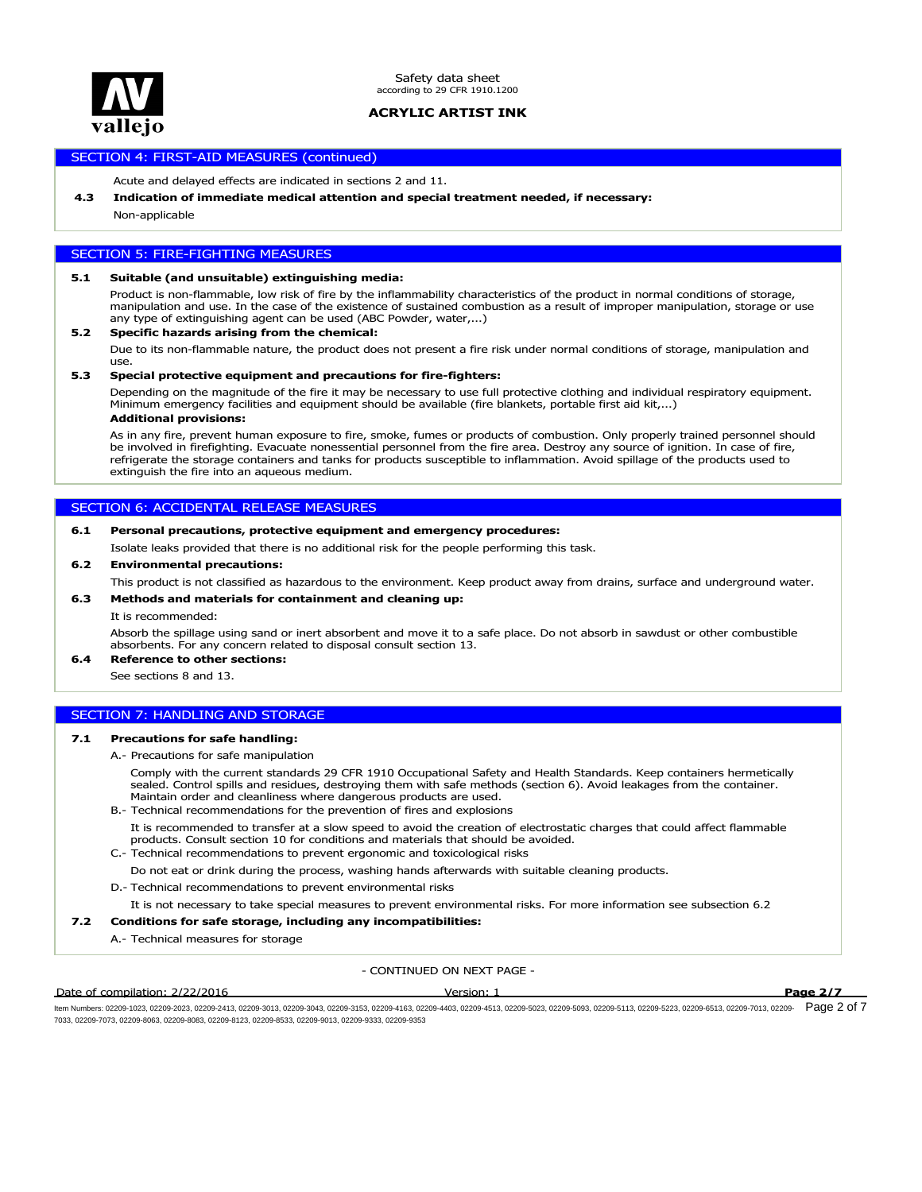

Safety data sheet according to 29 CFR 1910.1200

# **ACRYLIC ARTIST INK**

# SECTION 4: FIRST-AID MEASURES (continued)

Acute and delayed effects are indicated in sections 2 and 11.

#### **4.3 Indication of immediate medical attention and special treatment needed, if necessary:**

Non-applicable

# SECTION 5: FIRE-FIGHTING MEASURES

#### **5.1 Suitable (and unsuitable) extinguishing media:**

Product is non-flammable, low risk of fire by the inflammability characteristics of the product in normal conditions of storage, manipulation and use. In the case of the existence of sustained combustion as a result of improper manipulation, storage or use any type of extinguishing agent can be used (ABC Powder, water,...)

#### **5.2 Specific hazards arising from the chemical:**

Due to its non-flammable nature, the product does not present a fire risk under normal conditions of storage, manipulation and use.

# **5.3 Special protective equipment and precautions for fire-fighters:**

**Additional provisions:** Depending on the magnitude of the fire it may be necessary to use full protective clothing and individual respiratory equipment. Minimum emergency facilities and equipment should be available (fire blankets, portable first aid kit,...)

As in any fire, prevent human exposure to fire, smoke, fumes or products of combustion. Only properly trained personnel should be involved in firefighting. Evacuate nonessential personnel from the fire area. Destroy any source of ignition. In case of fire, refrigerate the storage containers and tanks for products susceptible to inflammation. Avoid spillage of the products used to extinguish the fire into an aqueous medium.

# SECTION 6: ACCIDENTAL RELEASE MEASURES

#### **6.1 Personal precautions, protective equipment and emergency procedures:**

Isolate leaks provided that there is no additional risk for the people performing this task.

#### **6.2 Environmental precautions:**

This product is not classified as hazardous to the environment. Keep product away from drains, surface and underground water.

### **6.3 Methods and materials for containment and cleaning up:**

It is recommended:

Absorb the spillage using sand or inert absorbent and move it to a safe place. Do not absorb in sawdust or other combustible absorbents. For any concern related to disposal consult section 13.

# **6.4 Reference to other sections:**

See sections 8 and 13.

# SECTION 7: HANDLING AND STORAGE

#### **7.1 Precautions for safe handling:**

A.- Precautions for safe manipulation

Comply with the current standards 29 CFR 1910 Occupational Safety and Health Standards. Keep containers hermetically sealed. Control spills and residues, destroying them with safe methods (section 6). Avoid leakages from the container. Maintain order and cleanliness where dangerous products are used.

B.- Technical recommendations for the prevention of fires and explosions

It is recommended to transfer at a slow speed to avoid the creation of electrostatic charges that could affect flammable products. Consult section 10 for conditions and materials that should be avoided.

- C.- Technical recommendations to prevent ergonomic and toxicological risks
- Do not eat or drink during the process, washing hands afterwards with suitable cleaning products.
- D.- Technical recommendations to prevent environmental risks

It is not necessary to take special measures to prevent environmental risks. For more information see subsection 6.2

#### **7.2 Conditions for safe storage, including any incompatibilities:**

A.- Technical measures for storage

- CONTINUED ON NEXT PAGE -

#### Date of compilation: 2/22/2016 Version: 1 **Page 2/7**

ltem Numbers: 02209-1023, 02209-2023, 02209-2413, 02209-3013, 02209-3043, 02209-4153, 02209-4403, 02209-403, 02209-503, 02209-5030, 02209-503, 02209-5113, 02209-5223, 02209-5113, 02209-513, 02209-7013, 02209-513, 02209-511 7033, 02209-7073, 02209-8063, 02209-8083, 02209-8123, 02209-8533, 02209-9013, 02209-9333, 02209-9353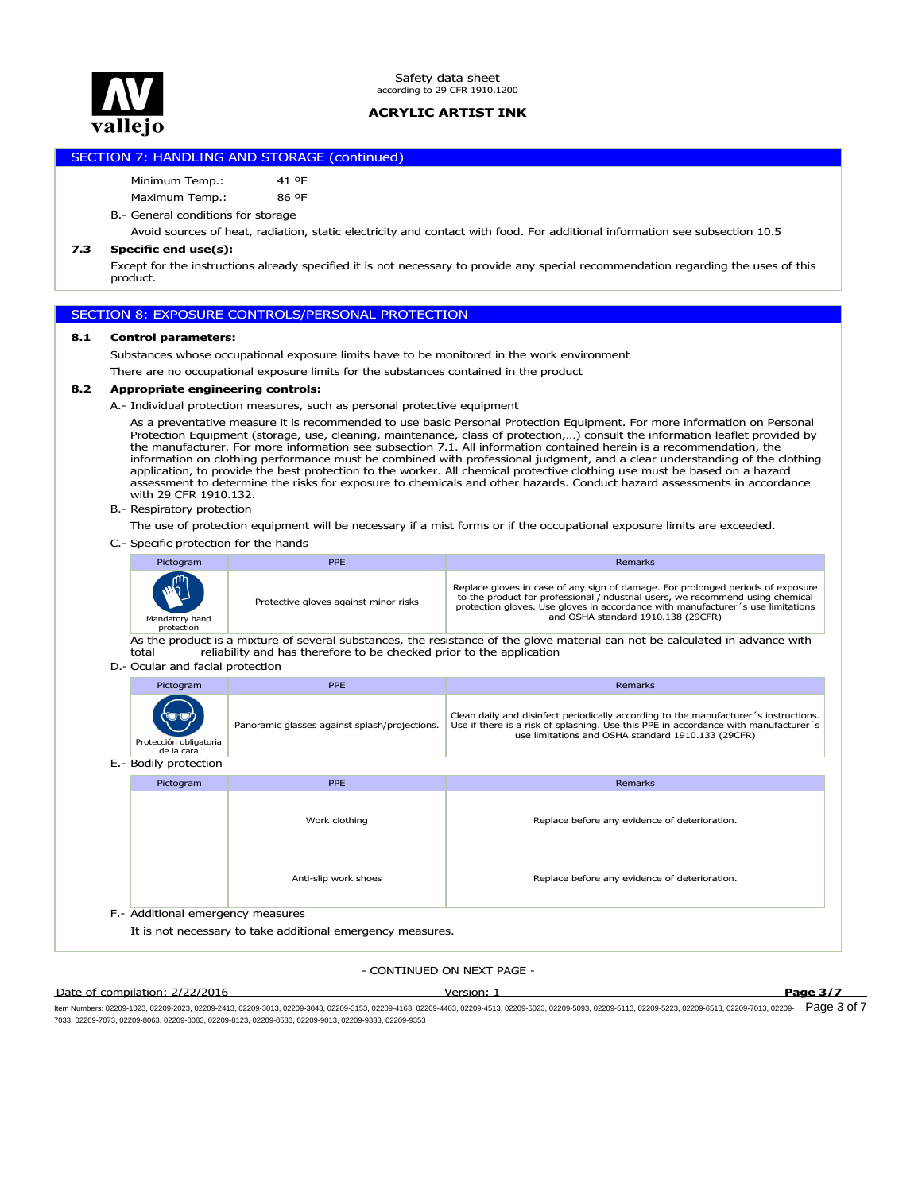

# SECTION 7: HANDLING AND STORAGE (continued)

Minimum Temp.: 41 ºF

Maximum Temp.: 86 ºF

B.- General conditions for storage

Avoid sources of heat, radiation, static electricity and contact with food. For additional information see subsection 10.5

#### **7.3 Specific end use(s):**

Except for the instructions already specified it is not necessary to provide any special recommendation regarding the uses of this product.

# SECTION 8: EXPOSURE CONTROLS/PERSONAL PROTECTION

# **8.1 Control parameters:**

Substances whose occupational exposure limits have to be monitored in the work environment

There are no occupational exposure limits for the substances contained in the product

# **8.2 Appropriate engineering controls:**

A.- Individual protection measures, such as personal protective equipment

As a preventative measure it is recommended to use basic Personal Protection Equipment. For more information on Personal Protection Equipment (storage, use, cleaning, maintenance, class of protection,…) consult the information leaflet provided by the manufacturer. For more information see subsection 7.1. All information contained herein is a recommendation, the information on clothing performance must be combined with professional judgment, and a clear understanding of the clothing application, to provide the best protection to the worker. All chemical protective clothing use must be based on a hazard assessment to determine the risks for exposure to chemicals and other hazards. Conduct hazard assessments in accordance with 29 CFR 1910.132.

B.- Respiratory protection

The use of protection equipment will be necessary if a mist forms or if the occupational exposure limits are exceeded.

C.- Specific protection for the hands

| Pictogram                                   | <b>PPE</b>                            | Remarks                                                                                                                                                                                                                                                                                     |
|---------------------------------------------|---------------------------------------|---------------------------------------------------------------------------------------------------------------------------------------------------------------------------------------------------------------------------------------------------------------------------------------------|
| <b>MARY</b><br>Mandatory hand<br>protection | Protective gloves against minor risks | Replace gloves in case of any sign of damage. For prolonged periods of exposure<br>to the product for professional /industrial users, we recommend using chemical<br>protection gloves. Use gloves in accordance with manufacturer 's use limitations<br>and OSHA standard 1910.138 (29CFR) |

As the product is a mixture of several substances, the resistance of the glove material can not be calculated in advance with total reliability and has therefore to be checked prior to the application

#### D.- Ocular and facial protection

| Clean daily and disinfect periodically according to the manufacturer 's instructions.<br>Panoramic glasses against splash/projections.<br>use limitations and OSHA standard 1910.133 (29CFR)<br>Protección obligatoria<br>de la cara | Pictogram | <b>PPE</b> | Remarks                                                                             |
|--------------------------------------------------------------------------------------------------------------------------------------------------------------------------------------------------------------------------------------|-----------|------------|-------------------------------------------------------------------------------------|
|                                                                                                                                                                                                                                      |           |            | Use if there is a risk of splashing. Use this PPE in accordance with manufacturer's |

|                                   | E.- Boally protection                                      |                      |                                               |  |  |  |
|-----------------------------------|------------------------------------------------------------|----------------------|-----------------------------------------------|--|--|--|
|                                   | Pictogram                                                  | <b>PPE</b>           | Remarks                                       |  |  |  |
|                                   |                                                            | Work clothing        | Replace before any evidence of deterioration. |  |  |  |
|                                   |                                                            | Anti-slip work shoes | Replace before any evidence of deterioration. |  |  |  |
| F.- Additional emergency measures |                                                            |                      |                                               |  |  |  |
|                                   | It is not necessary to take additional emergency measures. |                      |                                               |  |  |  |

### - CONTINUED ON NEXT PAGE -

#### Date of compilation: 2/22/2016 Version: 1 **Page 3/7**

ltem Numbers: 02209-1023, 02209-2023, 02209-2413, 02209-3013, 02209-3043, 02209-4153, 02209-4403, 02209-403, 02209-503, 02209-5030, 02209-503, 02209-5113, 02209-5113, 02209-5113, 02209-5113, 02209-7013, 02209-513, 02209-51 7033, 02209-7073, 02209-8063, 02209-8083, 02209-8123, 02209-8533, 02209-9013, 02209-9333, 02209-9353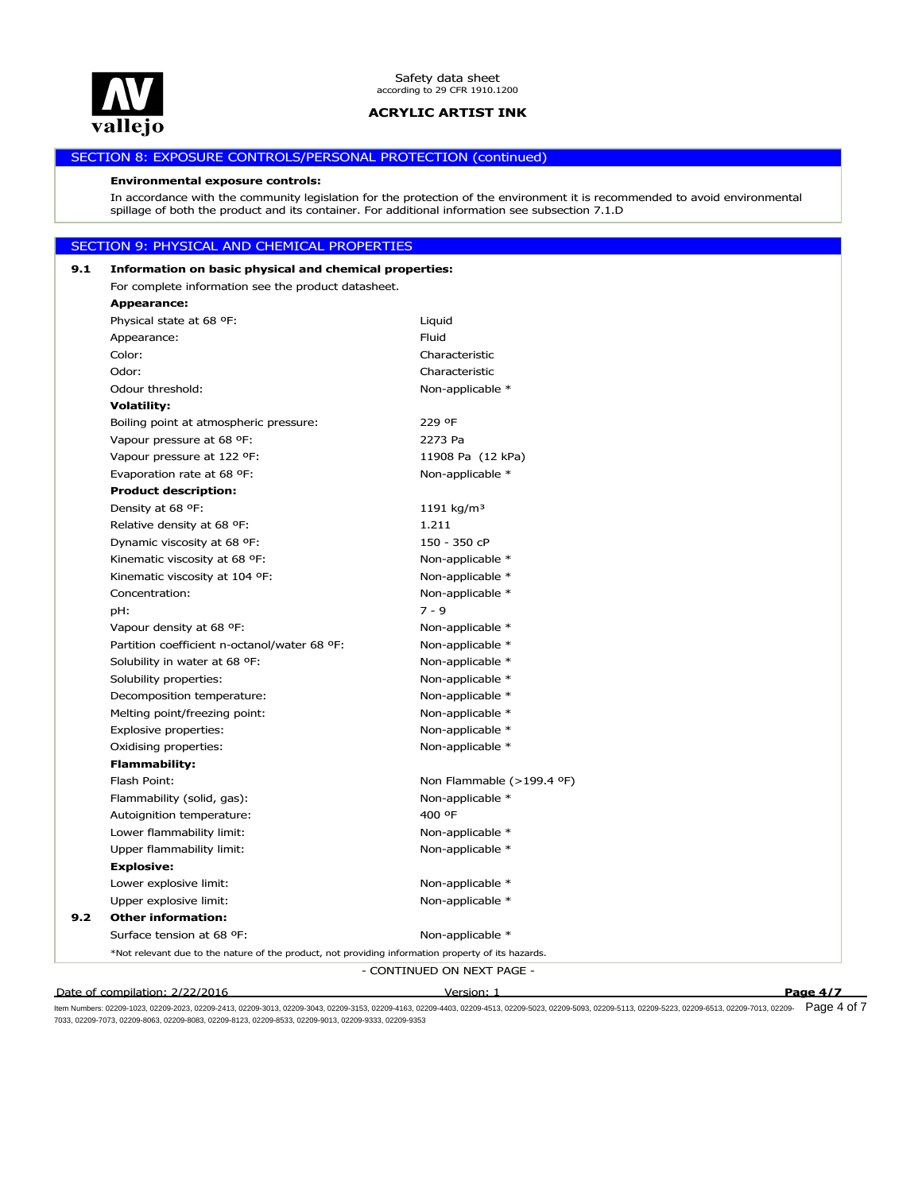

# SECTION 8: EXPOSURE CONTROLS/PERSONAL PROTECTION (continued)

#### **Environmental exposure controls:**

In accordance with the community legislation for the protection of the environment it is recommended to avoid environmental spillage of both the product and its container. For additional information see subsection 7.1.D

# SECTION 9: PHYSICAL AND CHEMICAL PROPERTIES

| 9.1 | Information on basic physical and chemical properties:                                             |                            |          |  |
|-----|----------------------------------------------------------------------------------------------------|----------------------------|----------|--|
|     | For complete information see the product datasheet.                                                |                            |          |  |
|     | <b>Appearance:</b>                                                                                 |                            |          |  |
|     | Physical state at 68 °F:                                                                           | Liquid                     |          |  |
|     | Appearance:                                                                                        | Fluid                      |          |  |
|     | Color:                                                                                             | Characteristic             |          |  |
|     | Odor:                                                                                              | Characteristic             |          |  |
|     | Odour threshold:                                                                                   | Non-applicable *           |          |  |
|     | <b>Volatility:</b>                                                                                 |                            |          |  |
|     | Boiling point at atmospheric pressure:                                                             | 229 °F                     |          |  |
|     | Vapour pressure at 68 °F:                                                                          | 2273 Pa                    |          |  |
|     | Vapour pressure at 122 °F:                                                                         | 11908 Pa (12 kPa)          |          |  |
|     | Evaporation rate at 68 °F:                                                                         | Non-applicable *           |          |  |
|     | <b>Product description:</b>                                                                        |                            |          |  |
|     | Density at 68 °F:                                                                                  | 1191 kg/m <sup>3</sup>     |          |  |
|     | Relative density at 68 °F:                                                                         | 1.211                      |          |  |
|     | Dynamic viscosity at 68 °F:                                                                        | 150 - 350 cP               |          |  |
|     | Kinematic viscosity at 68 °F:                                                                      | Non-applicable *           |          |  |
|     | Kinematic viscosity at 104 °F:                                                                     | Non-applicable *           |          |  |
|     | Concentration:                                                                                     | Non-applicable *           |          |  |
|     | pH:                                                                                                | $7 - 9$                    |          |  |
|     | Vapour density at 68 °F:                                                                           | Non-applicable *           |          |  |
|     | Partition coefficient n-octanol/water 68 °F:                                                       | Non-applicable *           |          |  |
|     | Solubility in water at 68 °F:                                                                      | Non-applicable *           |          |  |
|     | Solubility properties:                                                                             | Non-applicable *           |          |  |
|     | Decomposition temperature:                                                                         | Non-applicable *           |          |  |
|     | Melting point/freezing point:                                                                      | Non-applicable *           |          |  |
|     | Explosive properties:                                                                              | Non-applicable *           |          |  |
|     | Oxidising properties:                                                                              | Non-applicable *           |          |  |
|     | <b>Flammability:</b>                                                                               |                            |          |  |
|     | Flash Point:                                                                                       | Non Flammable (>199.4 °F)  |          |  |
|     | Flammability (solid, gas):                                                                         | Non-applicable *           |          |  |
|     | Autoignition temperature:                                                                          | 400 °F                     |          |  |
|     | Lower flammability limit:                                                                          | Non-applicable *           |          |  |
|     | Upper flammability limit:                                                                          | Non-applicable *           |          |  |
|     | <b>Explosive:</b>                                                                                  |                            |          |  |
|     | Lower explosive limit:                                                                             | Non-applicable *           |          |  |
|     | Upper explosive limit:                                                                             | Non-applicable *           |          |  |
| 9.2 | <b>Other information:</b>                                                                          |                            |          |  |
|     | Surface tension at 68 °F:                                                                          | Non-applicable *           |          |  |
|     | *Not relevant due to the nature of the product, not providing information property of its hazards. |                            |          |  |
|     |                                                                                                    | - CONTINUED ON NEXT PAGE - |          |  |
|     | Date of compilation: 2/22/2016                                                                     | <u> Version: 1</u>         | Page 4/7 |  |

ltem Numbers: 02209-1023, 02209-2023, 02209-2413, 02209-3013, 02209-3043, 02209-4153, 02209-4403, 02209-403, 02209-503, 02209-503, 02209-503, 02209-5113, 02209-5223, 02209-5113, 02209-5013, 02209-7013, 02209-513, 02209-511 7033, 02209-7073, 02209-8063, 02209-8083, 02209-8123, 02209-8533, 02209-9013, 02209-9333, 02209-9353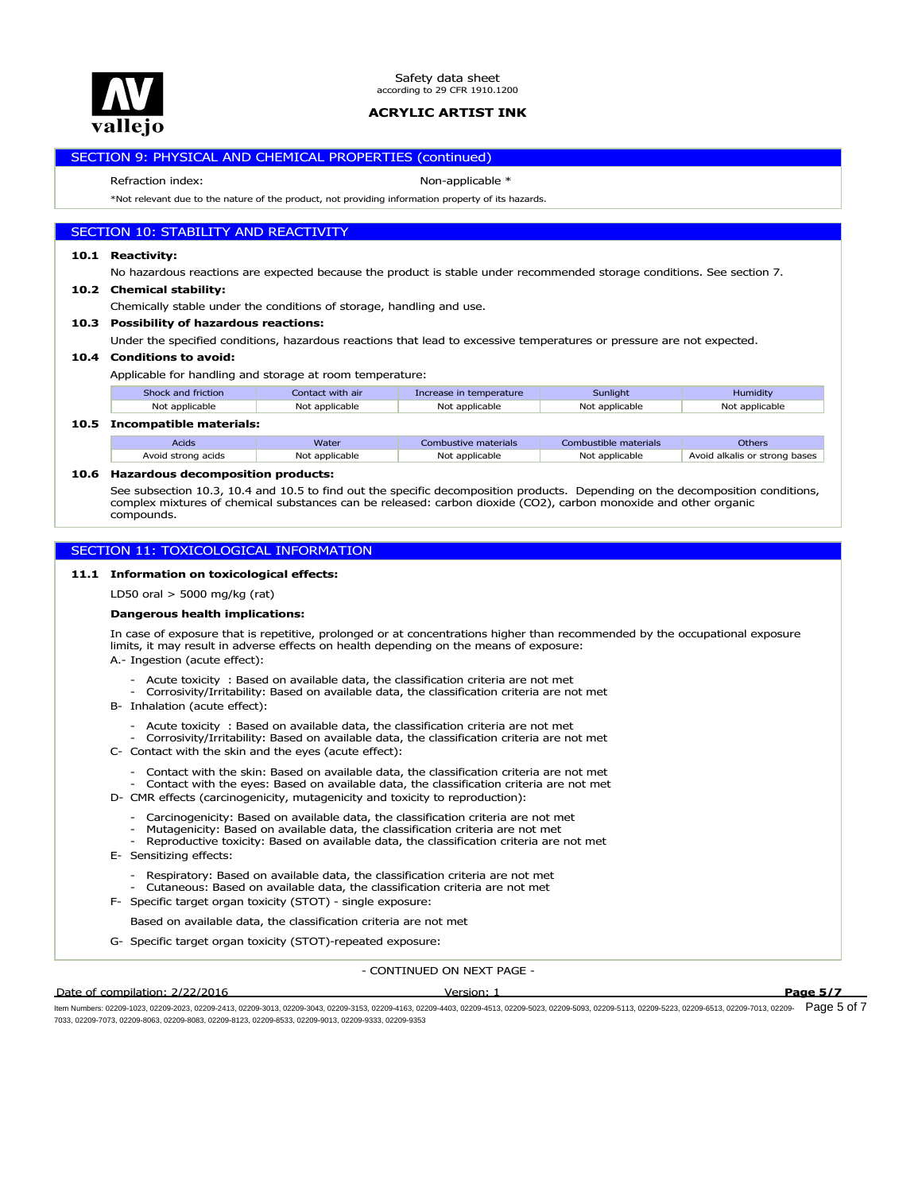

# SECTION 9: PHYSICAL AND CHEMICAL PROPERTIES (continued)

Refraction index: Non-applicable \*

\*Not relevant due to the nature of the product, not providing information property of its hazards.

# SECTION 10: STABILITY AND REACTIVITY

#### **10.1 Reactivity:**

No hazardous reactions are expected because the product is stable under recommended storage conditions. See section 7.

**10.2 Chemical stability:**

Chemically stable under the conditions of storage, handling and use.

**10.3 Possibility of hazardous reactions:**

Under the specified conditions, hazardous reactions that lead to excessive temperatures or pressure are not expected.

#### **10.4 Conditions to avoid:**

Applicable for handling and storage at room temperature:

| Shock and friction           | Contact with air | Increase in temperature | <b>Sunlight</b>       | Humidity       |  |
|------------------------------|------------------|-------------------------|-----------------------|----------------|--|
| Not applicable               | Not applicable   | Not applicable          | Not applicable        | Not applicable |  |
| 10.5 Incompatible materials: |                  |                         |                       |                |  |
| Acids                        | Water            | Combustive materials    | Combustible materials | Others         |  |

| <b>ACIOS</b>       | water          | Combustive materials | Compusuble materials | ouners                        |
|--------------------|----------------|----------------------|----------------------|-------------------------------|
| Avoid strong acids | Not applicable | Not applicable       | Not applicable       | Avoid alkalis or strong bases |
|                    |                |                      |                      |                               |

#### **10.6 Hazardous decomposition products:**

See subsection 10.3, 10.4 and 10.5 to find out the specific decomposition products. Depending on the decomposition conditions, complex mixtures of chemical substances can be released: carbon dioxide (CO2), carbon monoxide and other organic compounds.

# SECTION 11: TOXICOLOGICAL INFORMATION

#### **11.1 Information on toxicological effects:**

LD50 oral > 5000 mg/kg (rat)

#### **Dangerous health implications:**

In case of exposure that is repetitive, prolonged or at concentrations higher than recommended by the occupational exposure limits, it may result in adverse effects on health depending on the means of exposure:

A.- Ingestion (acute effect):

- Acute toxicity : Based on available data, the classification criteria are not met
- Corrosivity/Irritability: Based on available data, the classification criteria are not met
- B- Inhalation (acute effect):
	- Acute toxicity : Based on available data, the classification criteria are not met
	- Corrosivity/Irritability: Based on available data, the classification criteria are not met
- C- Contact with the skin and the eyes (acute effect):
	- Contact with the skin: Based on available data, the classification criteria are not met
	- Contact with the eyes: Based on available data, the classification criteria are not met
- D- CMR effects (carcinogenicity, mutagenicity and toxicity to reproduction):
	- Carcinogenicity: Based on available data, the classification criteria are not met
	- Mutagenicity: Based on available data, the classification criteria are not met
	- Reproductive toxicity: Based on available data, the classification criteria are not met
- E- Sensitizing effects:
	- Respiratory: Based on available data, the classification criteria are not met
- Cutaneous: Based on available data, the classification criteria are not met
- F- Specific target organ toxicity (STOT) single exposure:

Based on available data, the classification criteria are not met

G- Specific target organ toxicity (STOT)-repeated exposure:

#### - CONTINUED ON NEXT PAGE -

Date of compilation: 2/22/2016 Version: 1 **Page 5/7**

ltem Numbers: 02209-1023, 02209-2023, 02209-2413, 02209-3013, 02209-3043, 02209-3153, 02209-4163, 02209-403, 02209-503, 02209-5030, 02209-503, 02209-5113, 02209-5223, 02209-5113, 02209-513, 02209-7013, 02209-513, 02209-511 7033, 02209-7073, 02209-8063, 02209-8083, 02209-8123, 02209-8533, 02209-9013, 02209-9333, 02209-9353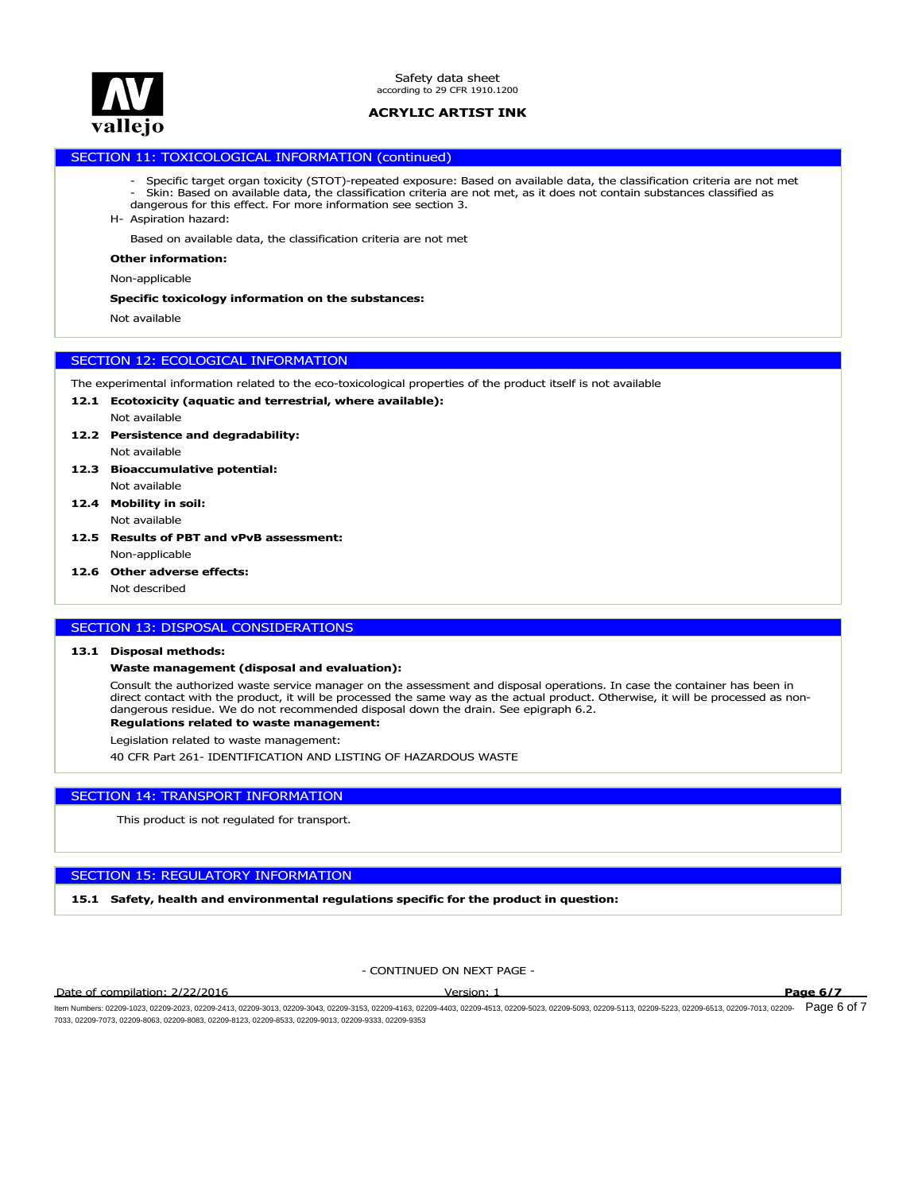

# SECTION 11: TOXICOLOGICAL INFORMATION (continued)

- Specific target organ toxicity (STOT)-repeated exposure: Based on available data, the classification criteria are not met - Skin: Based on available data, the classification criteria are not met, as it does not contain substances classified as
- H- Aspiration hazard: dangerous for this effect. For more information see section 3.

Based on available data, the classification criteria are not met

#### **Other information:**

Non-applicable

#### **Specific toxicology information on the substances:**

Not available

#### SECTION 12: ECOLOGICAL INFORMATION

The experimental information related to the eco-toxicological properties of the product itself is not available

- **12.1 Ecotoxicity (aquatic and terrestrial, where available):**
	- Not available
- Not available **12.2 Persistence and degradability:**
- **12.3 Bioaccumulative potential:**
- Not available **12.4 Mobility in soil:**
	- Not available
- Non-applicable **12.5 Results of PBT and vPvB assessment:**
- **12.6 Other adverse effects:**

Not described

# SECTION 13: DISPOSAL CONSIDERATIONS

#### **13.1 Disposal methods:**

# **Waste management (disposal and evaluation):**

**Regulations related to waste management:** Consult the authorized waste service manager on the assessment and disposal operations. In case the container has been in direct contact with the product, it will be processed the same way as the actual product. Otherwise, it will be processed as nondangerous residue. We do not recommended disposal down the drain. See epigraph 6.2.

Legislation related to waste management:

40 CFR Part 261- IDENTIFICATION AND LISTING OF HAZARDOUS WASTE

# SECTION 14: TRANSPORT INFORMATION

This product is not regulated for transport.

# SECTION 15: REGULATORY INFORMATION

**15.1 Safety, health and environmental regulations specific for the product in question:**

- CONTINUED ON NEXT PAGE -

Date of compilation: 2/22/2016 Version: 1 **Page 6/7**

ltem Numbers: 02209-1023, 02209-2023, 02209-2413, 02209-3013, 02209-3043, 02209-3153, 02209-4163, 02209-403, 02209-403, 02209-5033, 02209-5033, 02209-5031, 02209-5223, 02209-6113, 02209-7013, 02209-7013, 02209-513, 02209-5 7033, 02209-7073, 02209-8063, 02209-8083, 02209-8123, 02209-8533, 02209-9013, 02209-9333, 02209-9353